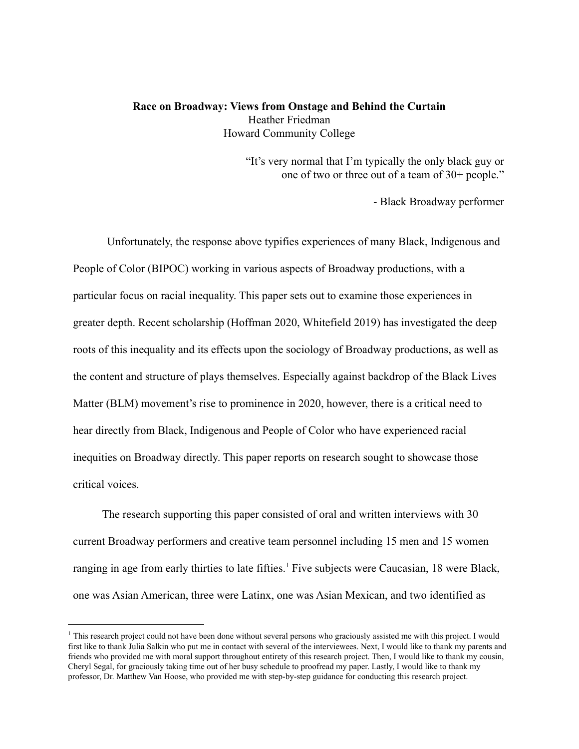#### **Race on Broadway: Views from Onstage and Behind the Curtain** Heather Friedman Howard Community College

"It's very normal that I'm typically the only black guy or one of two or three out of a team of 30+ people."

- Black Broadway performer

Unfortunately, the response above typifies experiences of many Black, Indigenous and People of Color (BIPOC) working in various aspects of Broadway productions, with a particular focus on racial inequality. This paper sets out to examine those experiences in greater depth. Recent scholarship (Hoffman 2020, Whitefield 2019) has investigated the deep roots of this inequality and its effects upon the sociology of Broadway productions, as well as the content and structure of plays themselves. Especially against backdrop of the Black Lives Matter (BLM) movement's rise to prominence in 2020, however, there is a critical need to hear directly from Black, Indigenous and People of Color who have experienced racial inequities on Broadway directly. This paper reports on research sought to showcase those critical voices.

The research supporting this paper consisted of oral and written interviews with 30 current Broadway performers and creative team personnel including 15 men and 15 women ranging in age from early thirties to late fifties.<sup>1</sup> Five subjects were Caucasian, 18 were Black, one was Asian American, three were Latinx, one was Asian Mexican, and two identified as

<sup>&</sup>lt;sup>1</sup> This research project could not have been done without several persons who graciously assisted me with this project. I would first like to thank Julia Salkin who put me in contact with several of the interviewees. Next, I would like to thank my parents and friends who provided me with moral support throughout entirety of this research project. Then, I would like to thank my cousin, Cheryl Segal, for graciously taking time out of her busy schedule to proofread my paper. Lastly, I would like to thank my professor, Dr. Matthew Van Hoose, who provided me with step-by-step guidance for conducting this research project.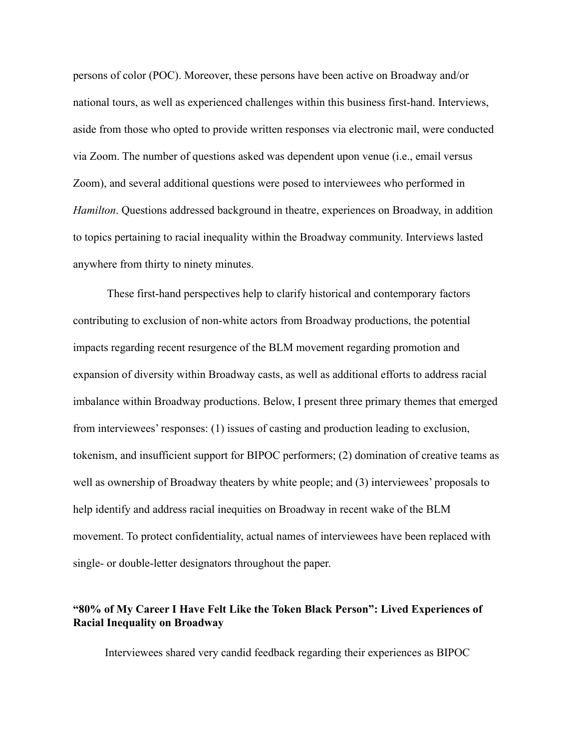persons of color (POC). Moreover, these persons have been active on Broadway and/or national tours, as well as experienced challenges within this business first-hand. Interviews, aside from those who opted to provide written responses via electronic mail, were conducted via Zoom. The number of questions asked was dependent upon venue (i.e., email versus Zoom), and several additional questions were posed to interviewees who performed in *Hamilton*. Questions addressed background in theatre, experiences on Broadway, in addition to topics pertaining to racial inequality within the Broadway community. Interviews lasted anywhere from thirty to ninety minutes.

These first-hand perspectives help to clarify historical and contemporary factors contributing to exclusion of non-white actors from Broadway productions, the potential impacts regarding recent resurgence of the BLM movement regarding promotion and expansion of diversity within Broadway casts, as well as additional efforts to address racial imbalance within Broadway productions. Below, I present three primary themes that emerged from interviewees' responses: (1) issues of casting and production leading to exclusion, tokenism, and insufficient support for BIPOC performers; (2) domination of creative teams as well as ownership of Broadway theaters by white people; and (3) interviewees' proposals to help identify and address racial inequities on Broadway in recent wake of the BLM movement. To protect confidentiality, actual names of interviewees have been replaced with single- or double-letter designators throughout the paper.

# **"80% of My Career I Have Felt Like the Token Black Person": Lived Experiences of Racial Inequality on Broadway**

Interviewees shared very candid feedback regarding their experiences as BIPOC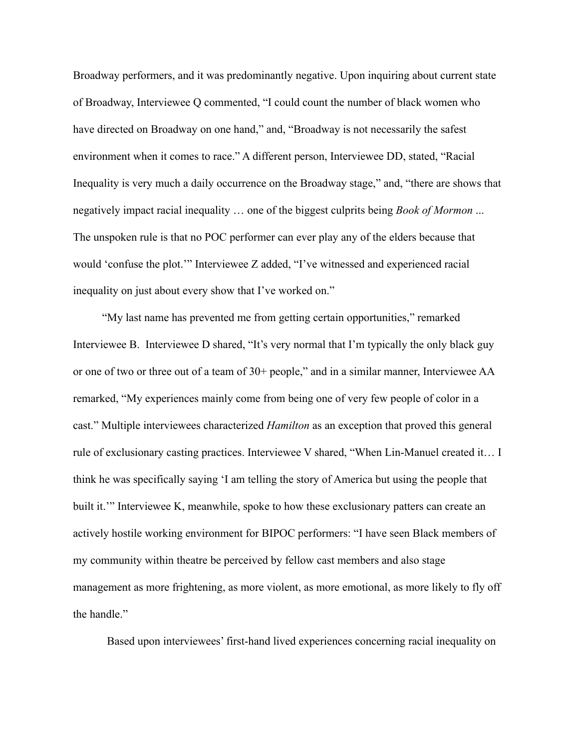Broadway performers, and it was predominantly negative. Upon inquiring about current state of Broadway, Interviewee Q commented, "I could count the number of black women who have directed on Broadway on one hand," and, "Broadway is not necessarily the safest environment when it comes to race." A different person, Interviewee DD, stated, "Racial Inequality is very much a daily occurrence on the Broadway stage," and, "there are shows that negatively impact racial inequality … one of the biggest culprits being *Book of Mormon* ... The unspoken rule is that no POC performer can ever play any of the elders because that would 'confuse the plot.'" Interviewee Z added, "I've witnessed and experienced racial inequality on just about every show that I've worked on."

"My last name has prevented me from getting certain opportunities," remarked Interviewee B. Interviewee D shared, "It's very normal that I'm typically the only black guy or one of two or three out of a team of 30+ people," and in a similar manner, Interviewee AA remarked, "My experiences mainly come from being one of very few people of color in a cast." Multiple interviewees characterized *Hamilton* as an exception that proved this general rule of exclusionary casting practices. Interviewee V shared, "When Lin-Manuel created it… I think he was specifically saying 'I am telling the story of America but using the people that built it.'" Interviewee K, meanwhile, spoke to how these exclusionary patters can create an actively hostile working environment for BIPOC performers: "I have seen Black members of my community within theatre be perceived by fellow cast members and also stage management as more frightening, as more violent, as more emotional, as more likely to fly off the handle."

Based upon interviewees' first-hand lived experiences concerning racial inequality on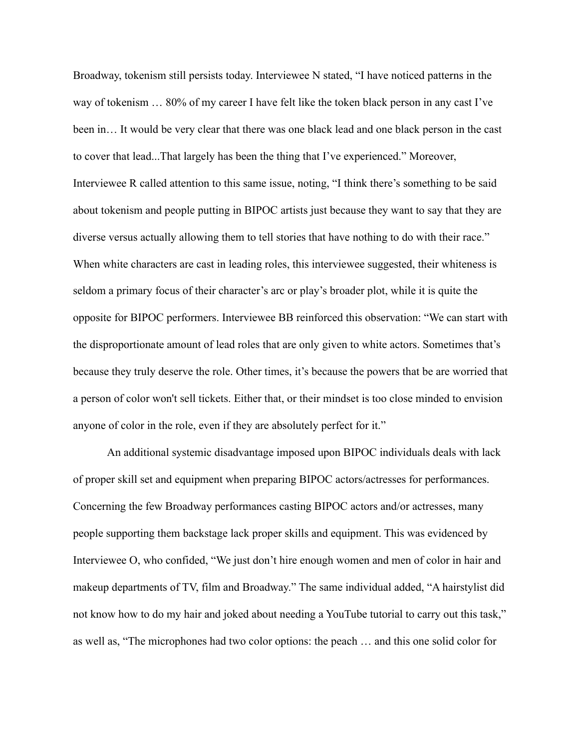Broadway, tokenism still persists today. Interviewee N stated, "I have noticed patterns in the way of tokenism … 80% of my career I have felt like the token black person in any cast I've been in… It would be very clear that there was one black lead and one black person in the cast to cover that lead...That largely has been the thing that I've experienced." Moreover, Interviewee R called attention to this same issue, noting, "I think there's something to be said about tokenism and people putting in BIPOC artists just because they want to say that they are diverse versus actually allowing them to tell stories that have nothing to do with their race." When white characters are cast in leading roles, this interviewee suggested, their whiteness is seldom a primary focus of their character's arc or play's broader plot, while it is quite the opposite for BIPOC performers. Interviewee BB reinforced this observation: "We can start with the disproportionate amount of lead roles that are only given to white actors. Sometimes that's because they truly deserve the role. Other times, it's because the powers that be are worried that a person of color won't sell tickets. Either that, or their mindset is too close minded to envision anyone of color in the role, even if they are absolutely perfect for it."

An additional systemic disadvantage imposed upon BIPOC individuals deals with lack of proper skill set and equipment when preparing BIPOC actors/actresses for performances. Concerning the few Broadway performances casting BIPOC actors and/or actresses, many people supporting them backstage lack proper skills and equipment. This was evidenced by Interviewee O, who confided, "We just don't hire enough women and men of color in hair and makeup departments of TV, film and Broadway." The same individual added, "A hairstylist did not know how to do my hair and joked about needing a YouTube tutorial to carry out this task," as well as, "The microphones had two color options: the peach … and this one solid color for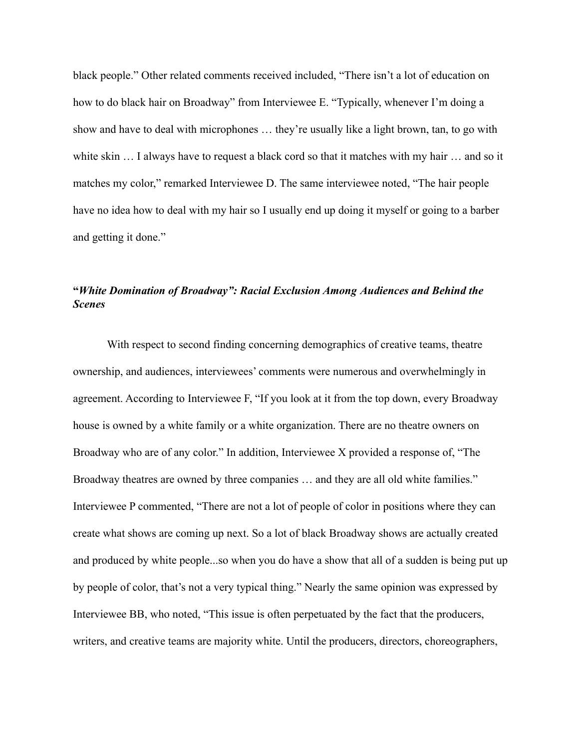black people." Other related comments received included, "There isn't a lot of education on how to do black hair on Broadway" from Interviewee E. "Typically, whenever I'm doing a show and have to deal with microphones … they're usually like a light brown, tan, to go with white skin ... I always have to request a black cord so that it matches with my hair ... and so it matches my color," remarked Interviewee D. The same interviewee noted, "The hair people have no idea how to deal with my hair so I usually end up doing it myself or going to a barber and getting it done."

# **"***White Domination of Broadway": Racial Exclusion Among Audiences and Behind the Scenes*

With respect to second finding concerning demographics of creative teams, theatre ownership, and audiences, interviewees' comments were numerous and overwhelmingly in agreement. According to Interviewee F, "If you look at it from the top down, every Broadway house is owned by a white family or a white organization. There are no theatre owners on Broadway who are of any color." In addition, Interviewee X provided a response of, "The Broadway theatres are owned by three companies ... and they are all old white families." Interviewee P commented, "There are not a lot of people of color in positions where they can create what shows are coming up next. So a lot of black Broadway shows are actually created and produced by white people...so when you do have a show that all of a sudden is being put up by people of color, that's not a very typical thing." Nearly the same opinion was expressed by Interviewee BB, who noted, "This issue is often perpetuated by the fact that the producers, writers, and creative teams are majority white. Until the producers, directors, choreographers,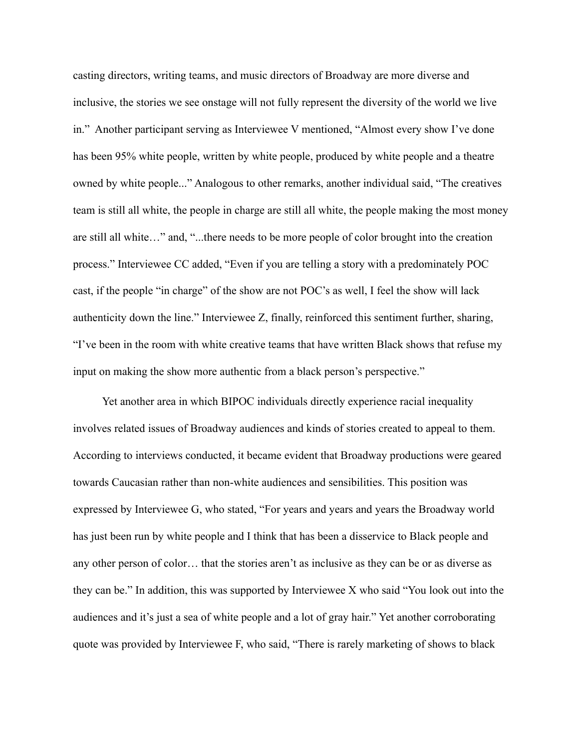casting directors, writing teams, and music directors of Broadway are more diverse and inclusive, the stories we see onstage will not fully represent the diversity of the world we live in." Another participant serving as Interviewee V mentioned, "Almost every show I've done has been 95% white people, written by white people, produced by white people and a theatre owned by white people..." Analogous to other remarks, another individual said, "The creatives team is still all white, the people in charge are still all white, the people making the most money are still all white…" and, "...there needs to be more people of color brought into the creation process." Interviewee CC added, "Even if you are telling a story with a predominately POC cast, if the people "in charge" of the show are not POC's as well, I feel the show will lack authenticity down the line." Interviewee Z, finally, reinforced this sentiment further, sharing, "I've been in the room with white creative teams that have written Black shows that refuse my input on making the show more authentic from a black person's perspective."

Yet another area in which BIPOC individuals directly experience racial inequality involves related issues of Broadway audiences and kinds of stories created to appeal to them. According to interviews conducted, it became evident that Broadway productions were geared towards Caucasian rather than non-white audiences and sensibilities. This position was expressed by Interviewee G, who stated, "For years and years and years the Broadway world has just been run by white people and I think that has been a disservice to Black people and any other person of color… that the stories aren't as inclusive as they can be or as diverse as they can be." In addition, this was supported by Interviewee X who said "You look out into the audiences and it's just a sea of white people and a lot of gray hair." Yet another corroborating quote was provided by Interviewee F, who said, "There is rarely marketing of shows to black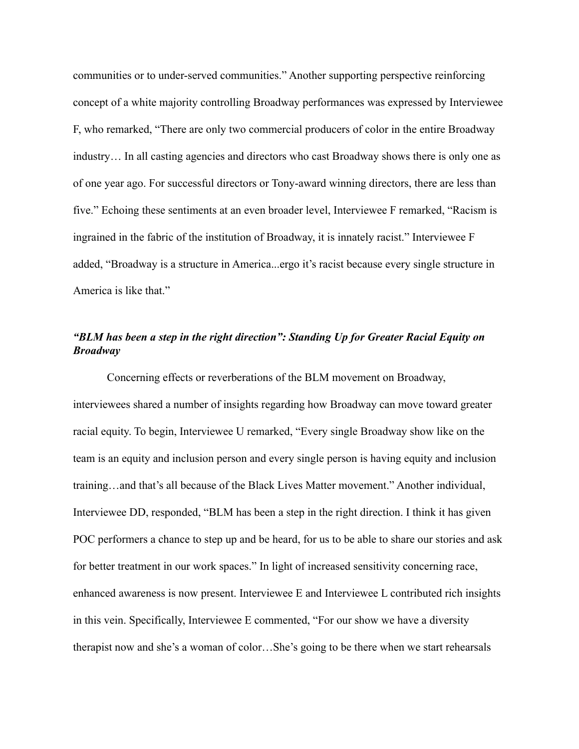communities or to under-served communities." Another supporting perspective reinforcing concept of a white majority controlling Broadway performances was expressed by Interviewee F, who remarked, "There are only two commercial producers of color in the entire Broadway industry… In all casting agencies and directors who cast Broadway shows there is only one as of one year ago. For successful directors or Tony-award winning directors, there are less than five." Echoing these sentiments at an even broader level, Interviewee F remarked, "Racism is ingrained in the fabric of the institution of Broadway, it is innately racist." Interviewee F added, "Broadway is a structure in America...ergo it's racist because every single structure in America is like that."

### *"BLM has been a step in the right direction": Standing Up for Greater Racial Equity on Broadway*

Concerning effects or reverberations of the BLM movement on Broadway, interviewees shared a number of insights regarding how Broadway can move toward greater racial equity. To begin, Interviewee U remarked, "Every single Broadway show like on the team is an equity and inclusion person and every single person is having equity and inclusion training…and that's all because of the Black Lives Matter movement." Another individual, Interviewee DD, responded, "BLM has been a step in the right direction. I think it has given POC performers a chance to step up and be heard, for us to be able to share our stories and ask for better treatment in our work spaces." In light of increased sensitivity concerning race, enhanced awareness is now present. Interviewee E and Interviewee L contributed rich insights in this vein. Specifically, Interviewee E commented, "For our show we have a diversity therapist now and she's a woman of color…She's going to be there when we start rehearsals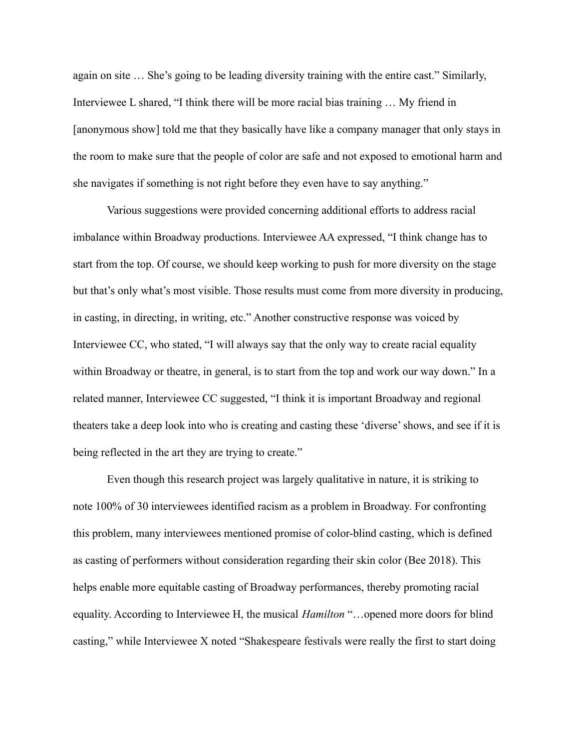again on site … She's going to be leading diversity training with the entire cast." Similarly, Interviewee L shared, "I think there will be more racial bias training … My friend in [anonymous show] told me that they basically have like a company manager that only stays in the room to make sure that the people of color are safe and not exposed to emotional harm and she navigates if something is not right before they even have to say anything."

Various suggestions were provided concerning additional efforts to address racial imbalance within Broadway productions. Interviewee AA expressed, "I think change has to start from the top. Of course, we should keep working to push for more diversity on the stage but that's only what's most visible. Those results must come from more diversity in producing, in casting, in directing, in writing, etc." Another constructive response was voiced by Interviewee CC, who stated, "I will always say that the only way to create racial equality within Broadway or theatre, in general, is to start from the top and work our way down." In a related manner, Interviewee CC suggested, "I think it is important Broadway and regional theaters take a deep look into who is creating and casting these 'diverse' shows, and see if it is being reflected in the art they are trying to create."

Even though this research project was largely qualitative in nature, it is striking to note 100% of 30 interviewees identified racism as a problem in Broadway. For confronting this problem, many interviewees mentioned promise of color-blind casting, which is defined as casting of performers without consideration regarding their skin color (Bee 2018). This helps enable more equitable casting of Broadway performances, thereby promoting racial equality. According to Interviewee H, the musical *Hamilton* "…opened more doors for blind casting," while Interviewee X noted "Shakespeare festivals were really the first to start doing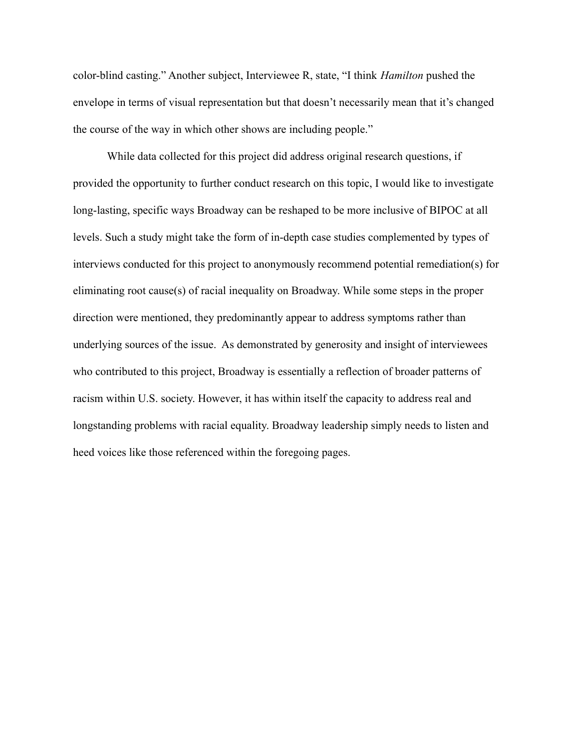color-blind casting." Another subject, Interviewee R, state, "I think *Hamilton* pushed the envelope in terms of visual representation but that doesn't necessarily mean that it's changed the course of the way in which other shows are including people."

While data collected for this project did address original research questions, if provided the opportunity to further conduct research on this topic, I would like to investigate long-lasting, specific ways Broadway can be reshaped to be more inclusive of BIPOC at all levels. Such a study might take the form of in-depth case studies complemented by types of interviews conducted for this project to anonymously recommend potential remediation(s) for eliminating root cause(s) of racial inequality on Broadway. While some steps in the proper direction were mentioned, they predominantly appear to address symptoms rather than underlying sources of the issue. As demonstrated by generosity and insight of interviewees who contributed to this project, Broadway is essentially a reflection of broader patterns of racism within U.S. society. However, it has within itself the capacity to address real and longstanding problems with racial equality. Broadway leadership simply needs to listen and heed voices like those referenced within the foregoing pages.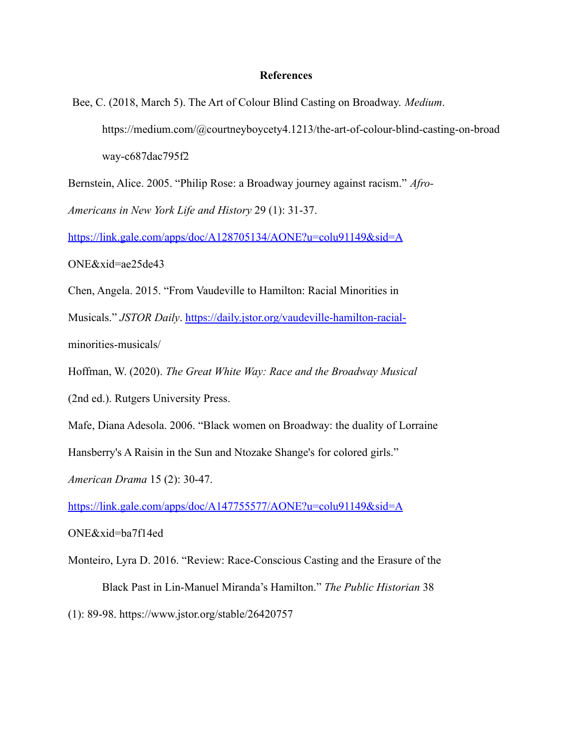#### **References**

Bee, C. (2018, March 5). The Art of Colour Blind Casting on Broadway. *Medium*. https://medium.com/@courtneyboycety4.1213/the-art-of-colour-blind-casting-on-broad way-c687dac795f2

Bernstein, Alice. 2005. "Philip Rose: a Broadway journey against racism." *Afro-Americans in New York Life and History* 29 (1): 31-37.

<https://link.gale.com/apps/doc/A128705134/AONE?u=colu91149&sid=A>

ONE&xid=ae25de43

Chen, Angela. 2015. "From Vaudeville to Hamilton: Racial Minorities in

Musicals." *JSTOR Daily*. <https://daily.jstor.org/vaudeville-hamilton-racial->

minorities-musicals/

Hoffman, W. (2020). *The Great White Way: Race and the Broadway Musical*

(2nd ed.). Rutgers University Press.

Mafe, Diana Adesola. 2006. "Black women on Broadway: the duality of Lorraine

Hansberry's A Raisin in the Sun and Ntozake Shange's for colored girls."

*American Drama* 15 (2): 30-47.

<https://link.gale.com/apps/doc/A147755577/AONE?u=colu91149&sid=A>

ONE&xid=ba7f14ed

Monteiro, Lyra D. 2016. "Review: Race-Conscious Casting and the Erasure of the Black Past in Lin-Manuel Miranda's Hamilton." *The Public Historian* 38

(1): 89-98. https://www.jstor.org/stable/26420757